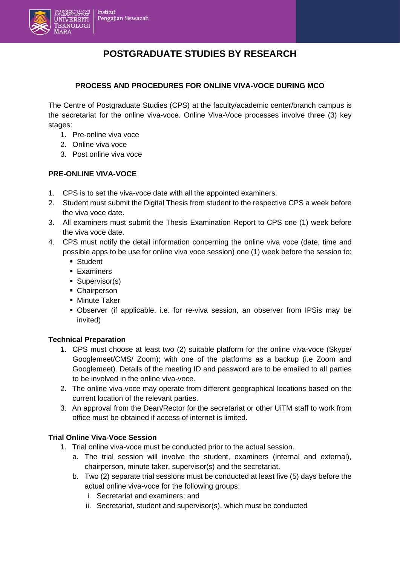

# **POSTGRADUATE STUDIES BY RESEARCH**

#### **PROCESS AND PROCEDURES FOR ONLINE VIVA-VOCE DURING MCO**

The Centre of Postgraduate Studies (CPS) at the faculty/academic center/branch campus is the secretariat for the online viva-voce. Online Viva-Voce processes involve three (3) key stages:

- 1. Pre-online viva voce
- 2. Online viva voce
- 3. Post online viva voce

### **PRE-ONLINE VIVA-VOCE**

- 1. CPS is to set the viva-voce date with all the appointed examiners.
- 2. Student must submit the Digital Thesis from student to the respective CPS a week before the viva voce date.
- 3. All examiners must submit the Thesis Examination Report to CPS one (1) week before the viva voce date.
- 4. CPS must notify the detail information concerning the online viva voce (date, time and possible apps to be use for online viva voce session) one (1) week before the session to:
	- Student
	- Examiners
	- Supervisor(s)
	- Chairperson
	- Minute Taker
	- Observer (if applicable. i.e. for re-viva session, an observer from IPSis may be invited)

#### **Technical Preparation**

- 1. CPS must choose at least two (2) suitable platform for the online viva-voce (Skype/ Googlemeet/CMS/ Zoom); with one of the platforms as a backup (i.e Zoom and Googlemeet). Details of the meeting ID and password are to be emailed to all parties to be involved in the online viva-voce.
- 2. The online viva-voce may operate from different geographical locations based on the current location of the relevant parties.
- 3. An approval from the Dean/Rector for the secretariat or other UiTM staff to work from office must be obtained if access of internet is limited.

### **Trial Online Viva-Voce Session**

- 1. Trial online viva-voce must be conducted prior to the actual session.
	- a. The trial session will involve the student, examiners (internal and external), chairperson, minute taker, supervisor(s) and the secretariat.
	- b. Two (2) separate trial sessions must be conducted at least five (5) days before the actual online viva-voce for the following groups:
		- i. Secretariat and examiners; and
		- ii. Secretariat, student and supervisor(s), which must be conducted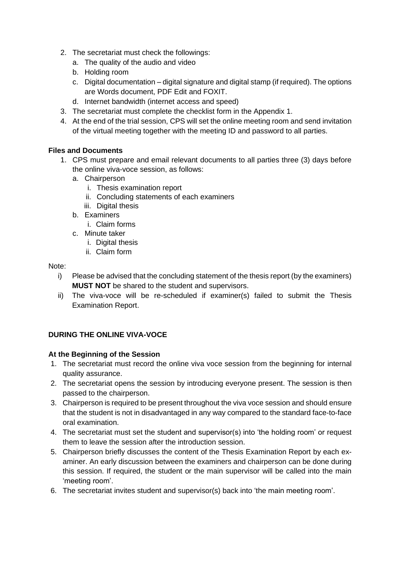- 2. The secretariat must check the followings:
	- a. The quality of the audio and video
	- b. Holding room
	- c. Digital documentation digital signature and digital stamp (if required). The options are Words document, PDF Edit and FOXIT.
	- d. Internet bandwidth (internet access and speed)
- 3. The secretariat must complete the checklist form in the Appendix 1.
- 4. At the end of the trial session, CPS will set the online meeting room and send invitation of the virtual meeting together with the meeting ID and password to all parties.

### **Files and Documents**

- 1. CPS must prepare and email relevant documents to all parties three (3) days before the online viva-voce session, as follows:
	- a. Chairperson
		- i. Thesis examination report
		- ii. Concluding statements of each examiners
		- iii. Digital thesis
	- b. Examiners
		- i. Claim forms
	- c. Minute taker
		- i. Digital thesis
		- ii. Claim form

### Note:

- i) Please be advised that the concluding statement of the thesis report (by the examiners) **MUST NOT** be shared to the student and supervisors.
- ii) The viva-voce will be re-scheduled if examiner(s) failed to submit the Thesis Examination Report.

### **DURING THE ONLINE VIVA-VOCE**

### **At the Beginning of the Session**

- 1. The secretariat must record the online viva voce session from the beginning for internal quality assurance.
- 2. The secretariat opens the session by introducing everyone present. The session is then passed to the chairperson.
- 3. Chairperson is required to be present throughout the viva voce session and should ensure that the student is not in disadvantaged in any way compared to the standard face-to-face oral examination.
- 4. The secretariat must set the student and supervisor(s) into 'the holding room' or request them to leave the session after the introduction session.
- 5. Chairperson briefly discusses the content of the Thesis Examination Report by each examiner. An early discussion between the examiners and chairperson can be done during this session. If required, the student or the main supervisor will be called into the main 'meeting room'.
- 6. The secretariat invites student and supervisor(s) back into 'the main meeting room'.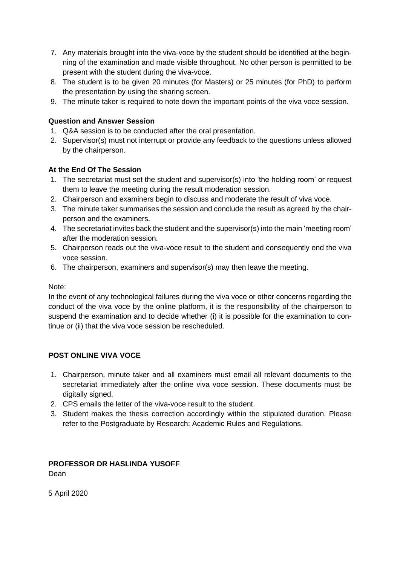- 7. Any materials brought into the viva-voce by the student should be identified at the beginning of the examination and made visible throughout. No other person is permitted to be present with the student during the viva-voce.
- 8. The student is to be given 20 minutes (for Masters) or 25 minutes (for PhD) to perform the presentation by using the sharing screen.
- 9. The minute taker is required to note down the important points of the viva voce session.

### **Question and Answer Session**

- 1. Q&A session is to be conducted after the oral presentation.
- 2. Supervisor(s) must not interrupt or provide any feedback to the questions unless allowed by the chairperson.

### **At the End Of The Session**

- 1. The secretariat must set the student and supervisor(s) into 'the holding room' or request them to leave the meeting during the result moderation session.
- 2. Chairperson and examiners begin to discuss and moderate the result of viva voce.
- 3. The minute taker summarises the session and conclude the result as agreed by the chairperson and the examiners.
- 4. The secretariat invites back the student and the supervisor(s) into the main 'meeting room' after the moderation session.
- 5. Chairperson reads out the viva-voce result to the student and consequently end the viva voce session.
- 6. The chairperson, examiners and supervisor(s) may then leave the meeting.

### Note:

In the event of any technological failures during the viva voce or other concerns regarding the conduct of the viva voce by the online platform, it is the responsibility of the chairperson to suspend the examination and to decide whether (i) it is possible for the examination to continue or (ii) that the viva voce session be rescheduled.

### **POST ONLINE VIVA VOCE**

- 1. Chairperson, minute taker and all examiners must email all relevant documents to the secretariat immediately after the online viva voce session. These documents must be digitally signed.
- 2. CPS emails the letter of the viva-voce result to the student.
- 3. Student makes the thesis correction accordingly within the stipulated duration. Please refer to the Postgraduate by Research: Academic Rules and Regulations.

# **PROFESSOR DR HASLINDA YUSOFF**

Dean

5 April 2020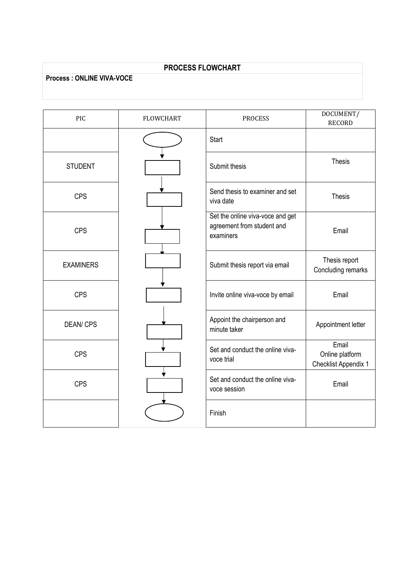## **PROCESS FLOWCHART**

## **Process : ONLINE VIVA-VOCE**

| PIC              | <b>FLOWCHART</b> | <b>PROCESS</b>                                                              | DOCUMENT/<br><b>RECORD</b>                       |
|------------------|------------------|-----------------------------------------------------------------------------|--------------------------------------------------|
|                  |                  | <b>Start</b>                                                                |                                                  |
| <b>STUDENT</b>   |                  | Submit thesis                                                               | <b>Thesis</b>                                    |
| <b>CPS</b>       |                  | Send thesis to examiner and set<br>viva date                                | <b>Thesis</b>                                    |
| <b>CPS</b>       |                  | Set the online viva-voce and get<br>agreement from student and<br>examiners | Email                                            |
| <b>EXAMINERS</b> |                  | Submit thesis report via email                                              | Thesis report<br>Concluding remarks              |
| <b>CPS</b>       |                  | Invite online viva-voce by email                                            | Email                                            |
| <b>DEAN/CPS</b>  |                  | Appoint the chairperson and<br>minute taker                                 | Appointment letter                               |
| <b>CPS</b>       |                  | Set and conduct the online viva-<br>voce trial                              | Email<br>Online platform<br>Checklist Appendix 1 |
| <b>CPS</b>       |                  | Set and conduct the online viva-<br>voce session                            | Email                                            |
|                  |                  | Finish                                                                      |                                                  |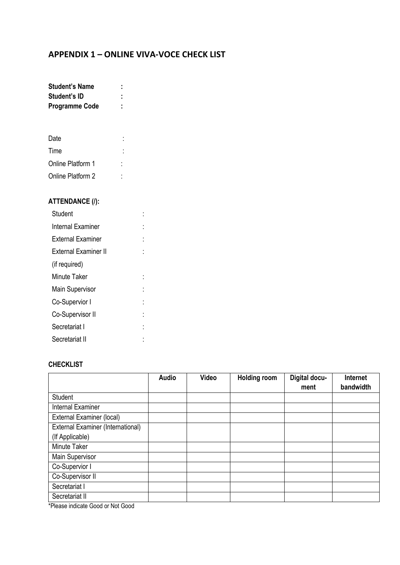# **APPENDIX 1 – ONLINE VIVA-VOCE CHECK LIST**

| <b>Student's Name</b> |  |
|-----------------------|--|
| Student's ID          |  |
| <b>Programme Code</b> |  |

| Date              |  |
|-------------------|--|
| Time              |  |
| Online Platform 1 |  |
| Online Platform 2 |  |

## **ATTENDANCE (/):**

| Student                     |  |
|-----------------------------|--|
| <b>Internal Examiner</b>    |  |
| <b>External Examiner</b>    |  |
| <b>External Examiner II</b> |  |
| (if required)               |  |
| <b>Minute Taker</b>         |  |
| <b>Main Supervisor</b>      |  |
| Co-Supervior I              |  |
| Co-Supervisor II            |  |
| Secretariat I               |  |
| Secretariat II              |  |

### **CHECKLIST**

|                                   | <b>Audio</b> | <b>Video</b> | <b>Holding room</b> | Digital docu-<br>ment | Internet<br>bandwidth |
|-----------------------------------|--------------|--------------|---------------------|-----------------------|-----------------------|
| Student                           |              |              |                     |                       |                       |
| <b>Internal Examiner</b>          |              |              |                     |                       |                       |
| External Examiner (local)         |              |              |                     |                       |                       |
| External Examiner (International) |              |              |                     |                       |                       |
| (If Applicable)                   |              |              |                     |                       |                       |
| Minute Taker                      |              |              |                     |                       |                       |
| Main Supervisor                   |              |              |                     |                       |                       |
| Co-Supervior I                    |              |              |                     |                       |                       |
| Co-Supervisor II                  |              |              |                     |                       |                       |
| Secretariat I                     |              |              |                     |                       |                       |
| Secretariat II                    |              |              |                     |                       |                       |

\*Please indicate Good or Not Good